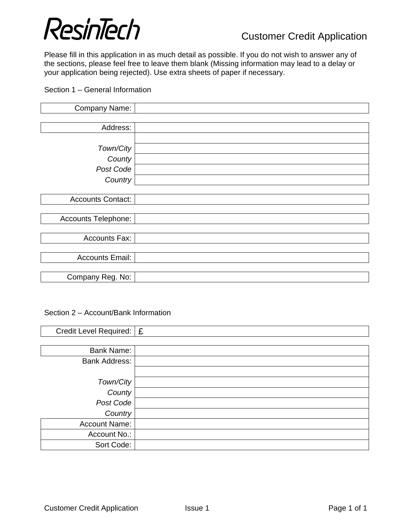# ResinTech<br>Customer Credit Application

Please fill in this application in as much detail as possible. If you do not wish to answer any of the sections, please feel free to leave them blank (Missing information may lead to a delay or your application being rejected). Use extra sheets of paper if necessary.

## Section 1 – General Information

| Company Name:            |  |
|--------------------------|--|
|                          |  |
| Address:                 |  |
|                          |  |
| Town/City                |  |
| County                   |  |
| Post Code                |  |
| Country                  |  |
|                          |  |
| <b>Accounts Contact:</b> |  |
|                          |  |
| Accounts Telephone:      |  |
|                          |  |
| Accounts Fax:            |  |
|                          |  |
| <b>Accounts Email:</b>   |  |
|                          |  |
| Company Reg. No:         |  |

#### Section 2 – Account/Bank Information

| Credit Level Required:   £ |  |
|----------------------------|--|
|                            |  |
| <b>Bank Name:</b>          |  |
| <b>Bank Address:</b>       |  |
|                            |  |
| Town/City                  |  |
| County                     |  |
| Post Code                  |  |
| Country                    |  |
| <b>Account Name:</b>       |  |
| Account No.:               |  |
| Sort Code:                 |  |